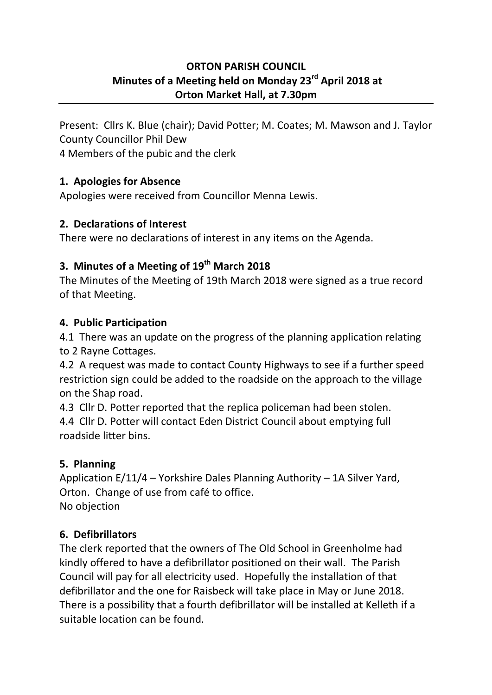#### **ORTON PARISH COUNCIL Minutes of a Meeting held on Monday 23rd April 2018 at Orton Market Hall, at 7.30pm**

Present: Cllrs K. Blue (chair); David Potter; M. Coates; M. Mawson and J. Taylor County Councillor Phil Dew

4 Members of the pubic and the clerk

### **1. Apologies for Absence**

Apologies were received from Councillor Menna Lewis.

### **2. Declarations of Interest**

There were no declarations of interest in any items on the Agenda.

# **3. Minutes of a Meeting of 19th March 2018**

The Minutes of the Meeting of 19th March 2018 were signed as a true record of that Meeting.

### **4. Public Participation**

4.1 There was an update on the progress of the planning application relating to 2 Rayne Cottages.

4.2 A request was made to contact County Highways to see if a further speed restriction sign could be added to the roadside on the approach to the village on the Shap road.

4.3 Cllr D. Potter reported that the replica policeman had been stolen. 4.4 Cllr D. Potter will contact Eden District Council about emptying full roadside litter bins.

# **5. Planning**

Application E/11/4 – Yorkshire Dales Planning Authority – 1A Silver Yard, Orton. Change of use from café to office. No objection

# **6. Defibrillators**

The clerk reported that the owners of The Old School in Greenholme had kindly offered to have a defibrillator positioned on their wall. The Parish Council will pay for all electricity used. Hopefully the installation of that defibrillator and the one for Raisbeck will take place in May or June 2018. There is a possibility that a fourth defibrillator will be installed at Kelleth if a suitable location can be found.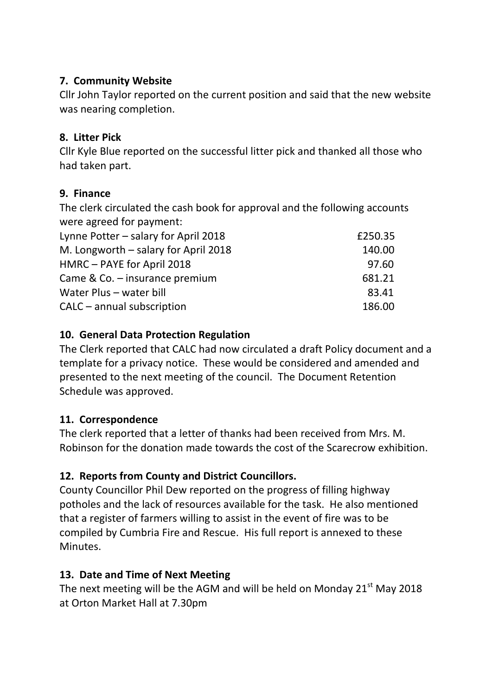### **7. Community Website**

Cllr John Taylor reported on the current position and said that the new website was nearing completion.

### **8. Litter Pick**

Cllr Kyle Blue reported on the successful litter pick and thanked all those who had taken part.

### **9. Finance**

The clerk circulated the cash book for approval and the following accounts were agreed for payment:

| £250.35 |
|---------|
| 140.00  |
| 97.60   |
| 681.21  |
| 83.41   |
| 186.00  |
|         |

### **10. General Data Protection Regulation**

The Clerk reported that CALC had now circulated a draft Policy document and a template for a privacy notice. These would be considered and amended and presented to the next meeting of the council. The Document Retention Schedule was approved.

# **11. Correspondence**

The clerk reported that a letter of thanks had been received from Mrs. M. Robinson for the donation made towards the cost of the Scarecrow exhibition.

# **12. Reports from County and District Councillors.**

County Councillor Phil Dew reported on the progress of filling highway potholes and the lack of resources available for the task. He also mentioned that a register of farmers willing to assist in the event of fire was to be compiled by Cumbria Fire and Rescue. His full report is annexed to these Minutes.

# **13. Date and Time of Next Meeting**

The next meeting will be the AGM and will be held on Monday  $21^{st}$  May 2018 at Orton Market Hall at 7.30pm